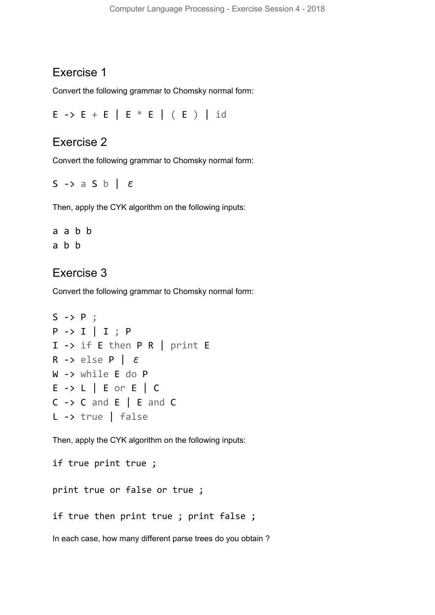## Exercise 1

Convert the following grammar to Chomsky normal form:

E -> E + E | E \* E | ( E ) | id

## Exercise 2

Convert the following grammar to Chomsky normal form:

```
S -> a S b | ε
```
Then, apply the CYK algorithm on the following inputs:

a a b b a b b

## Exercise 3

Convert the following grammar to Chomsky normal form:

```
S \rightarrow P;
P -> I | I ; P
I -> if E then P R | print E
R -> else P \vert \varepsilonW -> while E do P
E -> L | E or E | C
C \rightarrow C and E | E and CL -> true | false
```
Then, apply the CYK algorithm on the following inputs:

if true print true ;

print true or false or true ;

if true then print true ; print false ;

In each case, how many different parse trees do you obtain ?